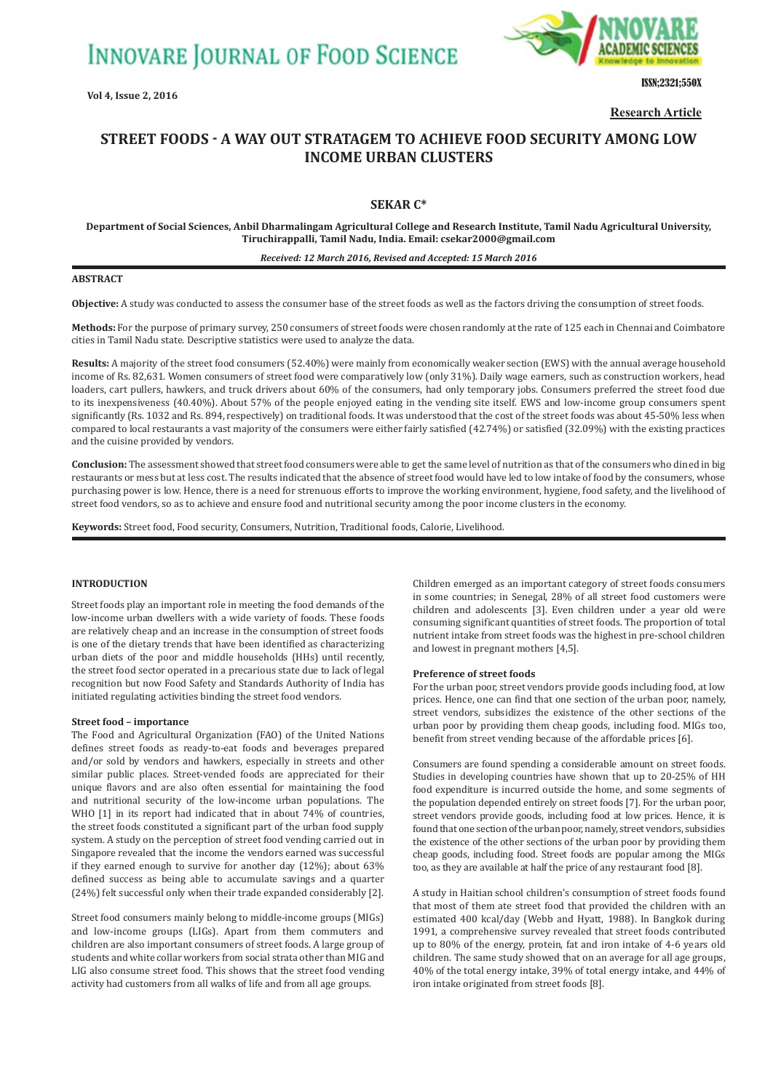**INNOVARE JOURNAL OF FOOD SCIENCE** 

**Vol 4, Issue 2, 2016**



ISSN;2321;550X

**Research Article**

# **STREET FOODS ǧ A WAY OUT STRATAGEM TO ACHIEVE FOOD SECURITY AMONG LOW INCOME URBAN CLUSTERS**

# **SEKAR C\***

**Department of Social Sciences, Anbil Dharmalingam Agricultural College and Research Institute, Tamil Nadu Agricultural University, Tiruchirappalli, Tamil Nadu, India. Email: csekar2000@gmail.com**

### *Received: 12 March 2016, Revised and Accepted: 15 March 2016*

### **ABSTRACT**

**Objective:** A study was conducted to assess the consumer base of the street foods as well as the factors driving the consumption of street foods.

**Methods:** For the purpose of primary survey, 250 consumers of street foods were chosen randomly at the rate of 125 each in Chennai and Coimbatore cities in Tamil Nadu state. Descriptive statistics were used to analyze the data.

**Results:** A majority of the street food consumers (52.40%) were mainly from economically weaker section (EWS) with the annual average household income of Rs. 82,631. Women consumers of street food were comparatively low (only 31%). Daily wage earners, such as construction workers, head loaders, cart pullers, hawkers, and truck drivers about 60% of the consumers, had only temporary jobs. Consumers preferred the street food due to its inexpensiveness (40.40%). About 57% of the people enjoyed eating in the vending site itself. EWS and low-income group consumers spent significantly (Rs. 1032 and Rs. 894, respectively) on traditional foods. It was understood that the cost of the street foods was about 45-50% less when compared to local restaurants a vast majority of the consumers were either fairly satisfied (42.74%) or satisfied (32.09%) with the existing practices and the cuisine provided by vendors.

**Conclusion:** The assessment showed that street food consumers were able to get the same level of nutrition as that of the consumers who dined in big restaurants or mess but at less cost. The results indicated that the absence of street food would have led to low intake of food by the consumers, whose purchasing power is low. Hence, there is a need for strenuous efforts to improve the working environment, hygiene, food safety, and the livelihood of street food vendors, so as to achieve and ensure food and nutritional security among the poor income clusters in the economy.

**Keywords:** Street food, Food security, Consumers, Nutrition, Traditional foods, Calorie, Livelihood.

### **INTRODUCTION**

Street foods play an important role in meeting the food demands of the low-income urban dwellers with a wide variety of foods. These foods are relatively cheap and an increase in the consumption of street foods is one of the dietary trends that have been identified as characterizing urban diets of the poor and middle households (HHs) until recently, the street food sector operated in a precarious state due to lack of legal recognition but now Food Safety and Standards Authority of India has initiated regulating activities binding the street food vendors.

#### **Street food – importance**

The Food and Agricultural Organization (FAO) of the United Nations defines street foods as ready-to-eat foods and beverages prepared and/or sold by vendors and hawkers, especially in streets and other similar public places. Street-vended foods are appreciated for their unique flavors and are also often essential for maintaining the food and nutritional security of the low-income urban populations. The WHO [1] in its report had indicated that in about 74% of countries, the street foods constituted a significant part of the urban food supply system. A study on the perception of street food vending carried out in Singapore revealed that the income the vendors earned was successful if they earned enough to survive for another day (12%); about 63% defined success as being able to accumulate savings and a quarter (24%) felt successful only when their trade expanded considerably [2].

Street food consumers mainly belong to middle-income groups (MIGs) and low-income groups (LIGs). Apart from them commuters and children are also important consumers of street foods. A large group of students and white collar workers from social strata other than MIG and LIG also consume street food. This shows that the street food vending activity had customers from all walks of life and from all age groups.

Children emerged as an important category of street foods consumers in some countries; in Senegal, 28% of all street food customers were children and adolescents [3]. Even children under a year old were consuming significant quantities of street foods. The proportion of total nutrient intake from street foods was the highest in pre-school children and lowest in pregnant mothers [4,5].

#### **Preference of street foods**

For the urban poor, street vendors provide goods including food, at low prices. Hence, one can find that one section of the urban poor, namely, street vendors, subsidizes the existence of the other sections of the urban poor by providing them cheap goods, including food. MIGs too, benefit from street vending because of the affordable prices [6].

Consumers are found spending a considerable amount on street foods. Studies in developing countries have shown that up to 20-25% of HH food expenditure is incurred outside the home, and some segments of the population depended entirely on street foods [7]. For the urban poor, street vendors provide goods, including food at low prices. Hence, it is found that one section of the urban poor, namely, street vendors, subsidies the existence of the other sections of the urban poor by providing them cheap goods, including food. Street foods are popular among the MIGs too, as they are available at half the price of any restaurant food [8].

A study in Haitian school children's consumption of street foods found that most of them ate street food that provided the children with an estimated 400 kcal/day (Webb and Hyatt, 1988). In Bangkok during 1991, a comprehensive survey revealed that street foods contributed up to 80% of the energy, protein, fat and iron intake of 4-6 years old children. The same study showed that on an average for all age groups, 40% of the total energy intake, 39% of total energy intake, and 44% of iron intake originated from street foods [8].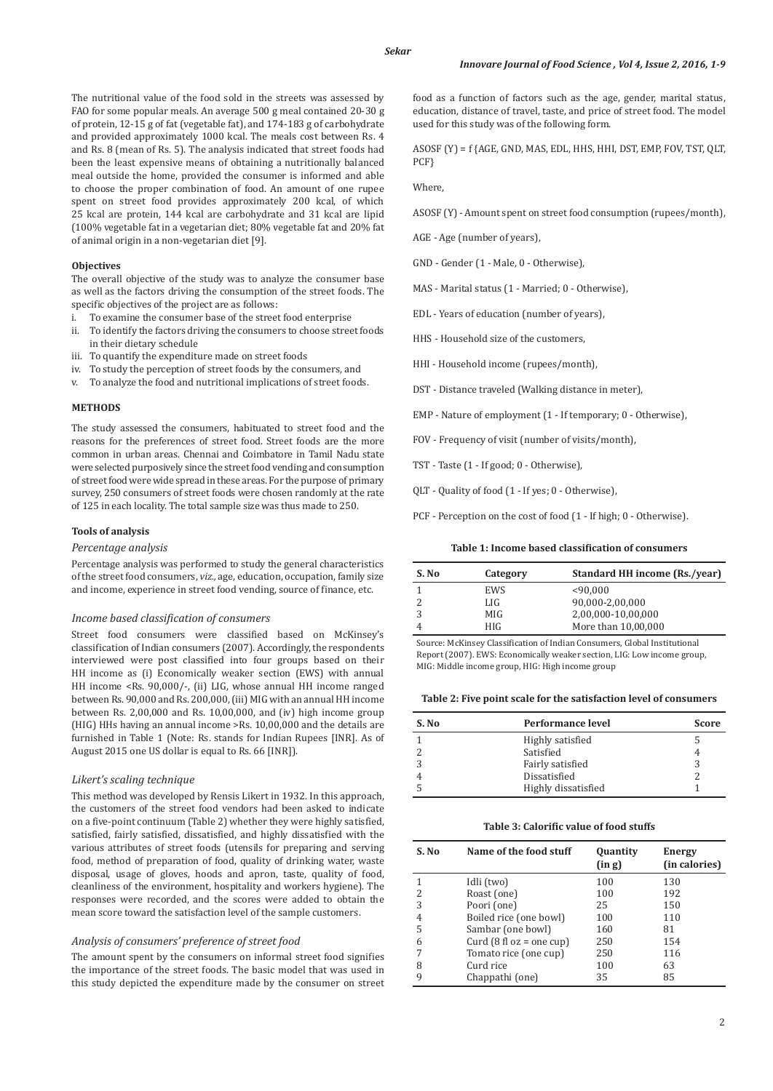The nutritional value of the food sold in the streets was assessed by FAO for some popular meals. An average 500 g meal contained 20-30 g of protein, 12-15 g of fat (vegetable fat), and 174-183 g of carbohydrate and provided approximately 1000 kcal. The meals cost between Rs. 4 and Rs. 8 (mean of Rs. 5). The analysis indicated that street foods had been the least expensive means of obtaining a nutritionally balanced meal outside the home, provided the consumer is informed and able to choose the proper combination of food. An amount of one rupee spent on street food provides approximately 200 kcal, of which 25 kcal are protein, 144 kcal are carbohydrate and 31 kcal are lipid (100% vegetable fat in a vegetarian diet; 80% vegetable fat and 20% fat of animal origin in a non-vegetarian diet [9].

### **Objectives**

The overall objective of the study was to analyze the consumer base as well as the factors driving the consumption of the street foods. The specific objectives of the project are as follows:

- i. To examine the consumer base of the street food enterprise
- ii. To identify the factors driving the consumers to choose street foods in their dietary schedule
- iii. To quantify the expenditure made on street foods
- iv. To study the perception of street foods by the consumers, and
- v. To analyze the food and nutritional implications of street foods.

#### **METHODS**

The study assessed the consumers, habituated to street food and the reasons for the preferences of street food. Street foods are the more common in urban areas. Chennai and Coimbatore in Tamil Nadu state were selected purposively since the street food vending and consumption of street food were wide spread in these areas. For the purpose of primary survey, 250 consumers of street foods were chosen randomly at the rate of 125 in each locality. The total sample size was thus made to 250.

### **Tools of analysis**

### *Percentage analysis*

Percentage analysis was performed to study the general characteristics of the street food consumers, *viz.,* age, education, occupation, family size and income, experience in street food vending, source of finance, etc.

#### *Income based classification of consumers*

Street food consumers were classified based on McKinsey's classification of Indian consumers (2007). Accordingly, the respondents interviewed were post classified into four groups based on their HH income as (i) Economically weaker section (EWS) with annual HH income <Rs. 90,000/-, (ii) LIG, whose annual HH income ranged between Rs. 90,000 and Rs. 200,000, (iii) MIG with an annual HH income between Rs. 2,00,000 and Rs. 10,00,000, and (iv) high income group (HIG) HHs having an annual income >Rs. 10,00,000 and the details are furnished in Table 1 (Note: Rs. stands for Indian Rupees [INR]. As of August 2015 one US dollar is equal to Rs. 66 [INR]).

#### *Likert's scaling technique*

This method was developed by Rensis Likert in 1932. In this approach, the customers of the street food vendors had been asked to indicate on a five-point continuum (Table 2) whether they were highly satisfied, satisfied, fairly satisfied, dissatisfied, and highly dissatisfied with the various attributes of street foods (utensils for preparing and serving food, method of preparation of food, quality of drinking water, waste disposal, usage of gloves, hoods and apron, taste, quality of food, cleanliness of the environment, hospitality and workers hygiene). The responses were recorded, and the scores were added to obtain the mean score toward the satisfaction level of the sample customers.

## *Analysis of consumers' preference of street food*

The amount spent by the consumers on informal street food signifies the importance of the street foods. The basic model that was used in this study depicted the expenditure made by the consumer on street food as a function of factors such as the age, gender, marital status, education, distance of travel, taste, and price of street food. The model used for this study was of the following form.

ASOSF (Y) = f {AGE, GND, MAS, EDL, HHS, HHI, DST, EMP, FOV, TST, QLT, PCF}

Where,

ASOSF (Y) - Amount spent on street food consumption (rupees/month),

AGE - Age (number of years),

GND - Gender (1 - Male, 0 - Otherwise),

MAS - Marital status (1 - Married; 0 - Otherwise),

EDL - Years of education (number of years),

HHS - Household size of the customers,

HHI - Household income (rupees/month),

DST - Distance traveled (Walking distance in meter),

EMP - Nature of employment (1 - If temporary; 0 - Otherwise),

FOV - Frequency of visit (number of visits/month),

TST - Taste (1 - If good; 0 - Otherwise),

QLT - Quality of food (1 - If yes; 0 - Otherwise),

PCF - Perception on the cost of food (1 - If high; 0 - Otherwise).

**Table 1: Income based classification of consumers**

| S. No | Category   | <b>Standard HH income (Rs./vear)</b> |
|-------|------------|--------------------------------------|
|       | <b>EWS</b> | < 90.000                             |
|       | LIG        | 90,000-2,00,000                      |
|       | MIG        | 2,00,000-10,00,000                   |
|       | <b>HIG</b> | More than 10,00,000                  |

Source: McKinsey Classification of Indian Consumers, Global Institutional Report (2007). EWS: Economically weaker section, LIG: Low income group, MIG: Middle income group, HIG: High income group

**Table 2: Five point scale for the satisfaction level of consumers**

| S. No | <b>Performance level</b> | <b>Score</b> |
|-------|--------------------------|--------------|
|       | Highly satisfied         |              |
|       | Satisfied                |              |
|       | Fairly satisfied         |              |
|       | Dissatisfied             |              |
|       | Highly dissatisfied      |              |

# **Table 3: Calorific value of food stuffs**

| S. No | Name of the food stuff                    | Quantity<br>(in g) | <b>Energy</b><br>(in calories) |
|-------|-------------------------------------------|--------------------|--------------------------------|
|       | Idli (two)                                | 100                | 130                            |
| 2     | Roast (one)                               | 100                | 192                            |
| 3     | Poori (one)                               | 25                 | 150                            |
|       | Boiled rice (one bowl)                    | 100                | 110                            |
| 5     | Sambar (one bowl)                         | 160                | 81                             |
| 6     | Curd $(8 \text{ fl oz} = \text{one cup})$ | 250                | 154                            |
| 7     | Tomato rice (one cup)                     | 250                | 116                            |
| 8     | Curd rice                                 | 100                | 63                             |
| 9     | Chappathi (one)                           | 35                 | 85                             |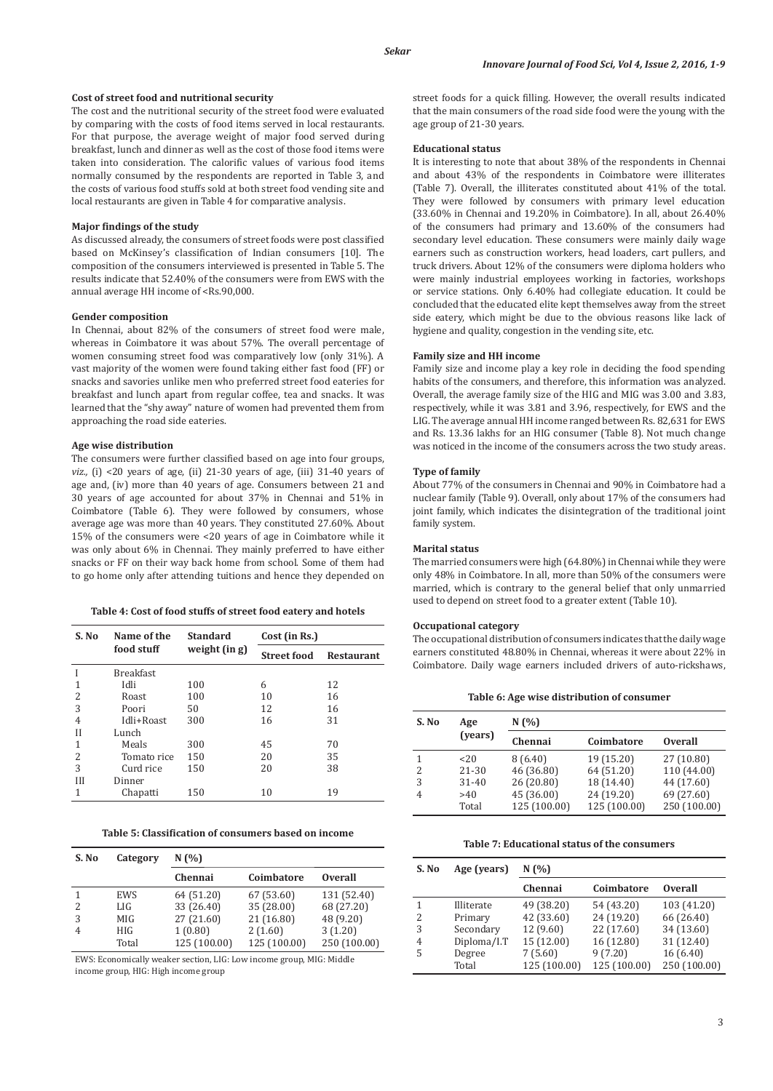#### *Sekar*

#### **Cost of street food and nutritional security**

The cost and the nutritional security of the street food were evaluated by comparing with the costs of food items served in local restaurants. For that purpose, the average weight of major food served during breakfast, lunch and dinner as well as the cost of those food items were taken into consideration. The calorific values of various food items normally consumed by the respondents are reported in Table 3, and the costs of various food stuffs sold at both street food vending site and local restaurants are given in Table 4 for comparative analysis.

# **Major findings of the study**

As discussed already, the consumers of street foods were post classified based on McKinsey's classification of Indian consumers [10]. The composition of the consumers interviewed is presented in Table 5. The results indicate that 52.40% of the consumers were from EWS with the annual average HH income of <Rs.90,000.

### **Gender composition**

In Chennai, about 82% of the consumers of street food were male, whereas in Coimbatore it was about 57%. The overall percentage of women consuming street food was comparatively low (only 31%). A vast majority of the women were found taking either fast food (FF) or snacks and savories unlike men who preferred street food eateries for breakfast and lunch apart from regular coffee, tea and snacks. It was learned that the "shy away" nature of women had prevented them from approaching the road side eateries.

### **Age wise distribution**

The consumers were further classified based on age into four groups, *viz.,* (i) <20 years of age, (ii) 21-30 years of age, (iii) 31-40 years of age and, (iv) more than 40 years of age. Consumers between 21 and 30 years of age accounted for about 37% in Chennai and 51% in Coimbatore (Table 6). They were followed by consumers, whose average age was more than 40 years. They constituted 27.60%. About 15% of the consumers were <20 years of age in Coimbatore while it was only about 6% in Chennai. They mainly preferred to have either snacks or FF on their way back home from school. Some of them had to go home only after attending tuitions and hence they depended on

#### **Table 4: Cost of food stuffs of street food eatery and hotels**

| S. No | Name of the      | <b>Standard</b> | Cost (in Rs.)      |                   |
|-------|------------------|-----------------|--------------------|-------------------|
|       | food stuff       | weight (in g)   | <b>Street food</b> | <b>Restaurant</b> |
|       | <b>Breakfast</b> |                 |                    |                   |
|       | Idli             | 100             | 6                  | 12                |
| 2     | <b>Roast</b>     | 100             | 10                 | 16                |
| 3     | Poori            | 50              | 12                 | 16                |
| 4     | Idli+Roast       | 300             | 16                 | 31                |
| Н     | Lunch            |                 |                    |                   |
| 1     | Meals            | 300             | 45                 | 70                |
| 2     | Tomato rice      | 150             | 20                 | 35                |
| 3     | Curd rice        | 150             | 20                 | 38                |
| Ш     | Dinner           |                 |                    |                   |
| 1     | Chapatti         | 150             | 10                 | 19                |

**Table 5: Classification of consumers based on income**

| S. No | Category | N(%)         |              |                |
|-------|----------|--------------|--------------|----------------|
|       |          | Chennai      | Coimbatore   | <b>Overall</b> |
|       | EWS      | 64 (51.20)   | 67 (53.60)   | 131 (52.40)    |
| 2     | LIG      | 33 (26.40)   | 35 (28.00)   | 68 (27.20)     |
| 3     | MIG      | 27 (21.60)   | 21 (16.80)   | 48 (9.20)      |
| 4     | HIG      | 1(0.80)      | 2(1.60)      | 3(1.20)        |
|       | Total    | 125 (100.00) | 125 (100.00) | 250 (100.00)   |

EWS: Economically weaker section, LIG: Low income group, MIG: Middle income group, HIG: High income group

street foods for a quick filling. However, the overall results indicated that the main consumers of the road side food were the young with the age group of 21-30 years.

#### **Educational status**

It is interesting to note that about 38% of the respondents in Chennai and about 43% of the respondents in Coimbatore were illiterates (Table 7). Overall, the illiterates constituted about 41% of the total. They were followed by consumers with primary level education (33.60% in Chennai and 19.20% in Coimbatore). In all, about 26.40% of the consumers had primary and 13.60% of the consumers had secondary level education. These consumers were mainly daily wage earners such as construction workers, head loaders, cart pullers, and truck drivers. About 12% of the consumers were diploma holders who were mainly industrial employees working in factories, workshops or service stations. Only 6.40% had collegiate education. It could be concluded that the educated elite kept themselves away from the street side eatery, which might be due to the obvious reasons like lack of hygiene and quality, congestion in the vending site, etc.

#### **Family size and HH income**

Family size and income play a key role in deciding the food spending habits of the consumers, and therefore, this information was analyzed. Overall, the average family size of the HIG and MIG was 3.00 and 3.83, respectively, while it was 3.81 and 3.96, respectively, for EWS and the LIG. The average annual HH income ranged between Rs. 82,631 for EWS and Rs. 13.36 lakhs for an HIG consumer (Table 8). Not much change was noticed in the income of the consumers across the two study areas.

#### **Type of family**

About 77% of the consumers in Chennai and 90% in Coimbatore had a nuclear family (Table 9). Overall, only about 17% of the consumers had joint family, which indicates the disintegration of the traditional joint family system.

### **Marital status**

The married consumers were high (64.80%) in Chennai while they were only 48% in Coimbatore. In all, more than 50% of the consumers were married, which is contrary to the general belief that only unmarried used to depend on street food to a greater extent (Table 10).

# **Occupational category**

The occupational distribution of consumers indicates that the daily wage earners constituted 48.80% in Chennai, whereas it were about 22% in Coimbatore. Daily wage earners included drivers of auto-rickshaws,

**Table 6: Age wise distribution of consumer**

| S. No  | Age                          | N(%)                                |                                        |                                         |
|--------|------------------------------|-------------------------------------|----------------------------------------|-----------------------------------------|
|        | (vears)                      | Chennai                             | Coimbatore                             | <b>Overall</b>                          |
| 2<br>3 | $<$ 20<br>21-30<br>$31 - 40$ | 8(6.40)<br>46 (36.80)<br>26 (20.80) | 19 (15.20)<br>64 (51.20)<br>18 (14.40) | 27 (10.80)<br>110 (44.00)<br>44 (17.60) |
| 4      | >40<br>Total                 | 45 (36.00)<br>125 (100.00)          | 24 (19.20)<br>125 (100.00)             | 69 (27.60)<br>250 (100.00)              |

**Table 7: Educational status of the consumers**

| S. No | Age (years) | N(%)         |              |                |
|-------|-------------|--------------|--------------|----------------|
|       |             | Chennai      | Coimbatore   | <b>Overall</b> |
|       | Illiterate  | 49 (38.20)   | 54 (43.20)   | 103 (41.20)    |
| 2     | Primary     | 42 (33.60)   | 24 (19.20)   | 66 (26.40)     |
| 3     | Secondary   | 12 (9.60)    | 22 (17.60)   | 34 (13.60)     |
| 4     | Diploma/I.T | 15 (12.00)   | 16 (12.80)   | 31 (12.40)     |
| 5     | Degree      | 7(5.60)      | 9(7.20)      | 16(6.40)       |
|       | Total       | 125 (100.00) | 125 (100.00) | 250 (100.00)   |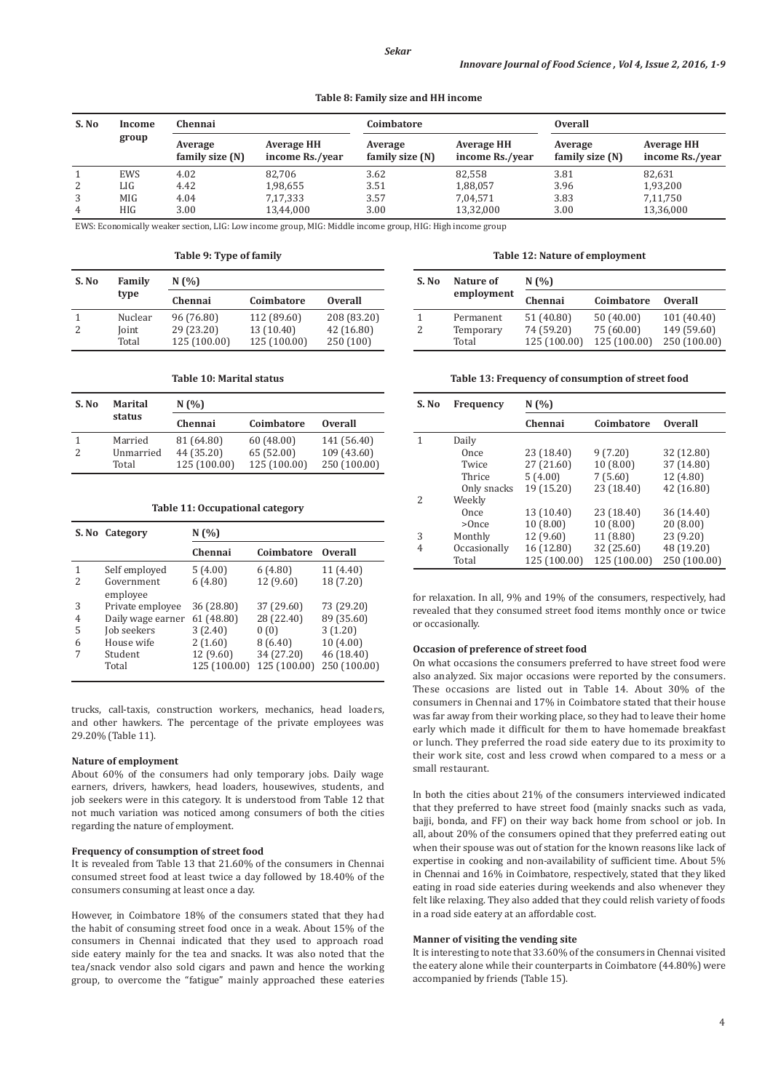**Table 8: Family size and HH income**

| S. No<br>Income |            | Chennai                    |                                      | Coimbatore                 |                                      | <b>Overall</b>             |                                      |
|-----------------|------------|----------------------------|--------------------------------------|----------------------------|--------------------------------------|----------------------------|--------------------------------------|
|                 | group      | Average<br>family size (N) | <b>Average HH</b><br>income Rs./year | Average<br>family size (N) | <b>Average HH</b><br>income Rs./year | Average<br>family size (N) | <b>Average HH</b><br>income Rs./year |
|                 | EWS        | 4.02                       | 82.706                               | 3.62                       | 82,558                               | 3.81                       | 82,631                               |
| 2               | LIG        | 4.42                       | 1,98,655                             | 3.51                       | 1,88,057                             | 3.96                       | 1,93,200                             |
| 3               | MIG        | 4.04                       | 7,17,333                             | 3.57                       | 7,04,571                             | 3.83                       | 7,11,750                             |
| 4               | <b>HIG</b> | 3.00                       | 13,44,000                            | 3.00                       | 13,32,000                            | 3.00                       | 13,36,000                            |

EWS: Economically weaker section, LIG: Low income group, MIG: Middle income group, HIG: High income group

**Table 9: Type of family**

| S. No | Family  | N(%)         |              |                |  |
|-------|---------|--------------|--------------|----------------|--|
|       | type    | Chennai      | Coimbatore   | <b>Overall</b> |  |
|       | Nuclear | 96 (76.80)   | 112 (89.60)  | 208 (83.20)    |  |
|       | Joint   | 29 (23.20)   | 13 (10.40)   | 42 (16.80)     |  |
|       | Total   | 125 (100.00) | 125 (100.00) | 250 (100)      |  |

| S. No | Marital<br>status | N(%)       |            |                |  |
|-------|-------------------|------------|------------|----------------|--|
|       |                   | Chennai    | Coimbatore | <b>Overall</b> |  |
|       | Married           | 81 (64.80) | 60(48.00)  | 141 (56.40)    |  |

2 Unmarried 44 (35.20) 65 (52.00) 109 (43.60) Total 125 (100.00) 125 (100.00) 250 (100.00)

**Table 10: Marital status**

#### **Table 11: Occupational category**

|               | S. No Category         | N(%                       |                            |                            |
|---------------|------------------------|---------------------------|----------------------------|----------------------------|
|               |                        | Chennai                   | Coimbatore                 | <b>Overall</b>             |
|               | Self employed          | 5(4.00)                   | 6(4.80)                    | 11 (4.40)                  |
| $\mathcal{L}$ | Government<br>employee | 6(4.80)                   | 12 (9.60)                  | 18 (7.20)                  |
| 3             | Private employee       | 36 (28.80)                | 37 (29.60)                 | 73 (29.20)                 |
| 4             | Daily wage earner      | 61 (48.80)                | 28 (22.40)                 | 89 (35.60)                 |
| 5             | Job seekers            | 3(2.40)                   | 0(0)                       | 3(1.20)                    |
| 6             | House wife             | 2(1.60)                   | 8(6.40)                    | 10(4.00)                   |
| 7             | Student<br>Total       | 12 (9.60)<br>125 (100.00) | 34 (27.20)<br>125 (100.00) | 46 (18.40)<br>250 (100.00) |

trucks, call-taxis, construction workers, mechanics, head loaders, and other hawkers. The percentage of the private employees was 29.20% (Table 11).

### **Nature of employment**

About 60% of the consumers had only temporary jobs. Daily wage earners, drivers, hawkers, head loaders, housewives, students, and job seekers were in this category. It is understood from Table 12 that not much variation was noticed among consumers of both the cities regarding the nature of employment.

### **Frequency of consumption of street food**

It is revealed from Table 13 that 21.60% of the consumers in Chennai consumed street food at least twice a day followed by 18.40% of the consumers consuming at least once a day.

However, in Coimbatore 18% of the consumers stated that they had the habit of consuming street food once in a weak. About 15% of the consumers in Chennai indicated that they used to approach road side eatery mainly for the tea and snacks. It was also noted that the tea/snack vendor also sold cigars and pawn and hence the working group, to overcome the "fatigue" mainly approached these eateries

### **Table 12: Nature of employment**

| S. No | Nature of          | N(%                        |                            |                             |
|-------|--------------------|----------------------------|----------------------------|-----------------------------|
|       | employment         | Chennai                    | Coimbatore                 | <b>Overall</b>              |
|       | Permanent          | 51 (40.80)                 | 50 (40.00)                 | 101 (40.40)                 |
|       | Temporary<br>Total | 74 (59.20)<br>125 (100.00) | 75 (60.00)<br>125 (100.00) | 149 (59.60)<br>250 (100.00) |

#### **Table 13: Frequency of consumption of street food**

| S. No | Frequency    | N(%          |              |                |  |  |
|-------|--------------|--------------|--------------|----------------|--|--|
|       |              | Chennai      | Coimbatore   | <b>Overall</b> |  |  |
| 1     | Daily        |              |              |                |  |  |
|       | Once         | 23 (18.40)   | 9(7.20)      | 32 (12.80)     |  |  |
|       | Twice        | 27 (21.60)   | 10(8.00)     | 37 (14.80)     |  |  |
|       | Thrice       | 5(4.00)      | 7(5.60)      | 12 (4.80)      |  |  |
|       | Only snacks  | 19 (15.20)   | 23 (18.40)   | 42 (16.80)     |  |  |
| 2     | Weekly       |              |              |                |  |  |
|       | Once         | 13 (10.40)   | 23 (18.40)   | 36 (14.40)     |  |  |
|       | $>$ Once     | 10(8.00)     | 10(8.00)     | 20(8.00)       |  |  |
| 3     | Monthly      | 12 (9.60)    | 11 (8.80)    | 23 (9.20)      |  |  |
| 4     | Occasionally | 16 (12.80)   | 32 (25.60)   | 48 (19.20)     |  |  |
|       | Total        | 125 (100.00) | 125 (100.00) | 250 (100.00)   |  |  |

for relaxation. In all, 9% and 19% of the consumers, respectively, had revealed that they consumed street food items monthly once or twice or occasionally.

#### **Occasion of preference of street food**

On what occasions the consumers preferred to have street food were also analyzed. Six major occasions were reported by the consumers. These occasions are listed out in Table 14. About 30% of the consumers in Chennai and 17% in Coimbatore stated that their house was far away from their working place, so they had to leave their home early which made it difficult for them to have homemade breakfast or lunch. They preferred the road side eatery due to its proximity to their work site, cost and less crowd when compared to a mess or a small restaurant.

In both the cities about 21% of the consumers interviewed indicated that they preferred to have street food (mainly snacks such as vada, bajji, bonda, and FF) on their way back home from school or job. In all, about 20% of the consumers opined that they preferred eating out when their spouse was out of station for the known reasons like lack of expertise in cooking and non-availability of sufficient time. About 5% in Chennai and 16% in Coimbatore, respectively, stated that they liked eating in road side eateries during weekends and also whenever they felt like relaxing. They also added that they could relish variety of foods in a road side eatery at an affordable cost.

### **Manner of visiting the vending site**

It is interesting to note that 33.60% of the consumers in Chennai visited the eatery alone while their counterparts in Coimbatore (44.80%) were accompanied by friends (Table 15).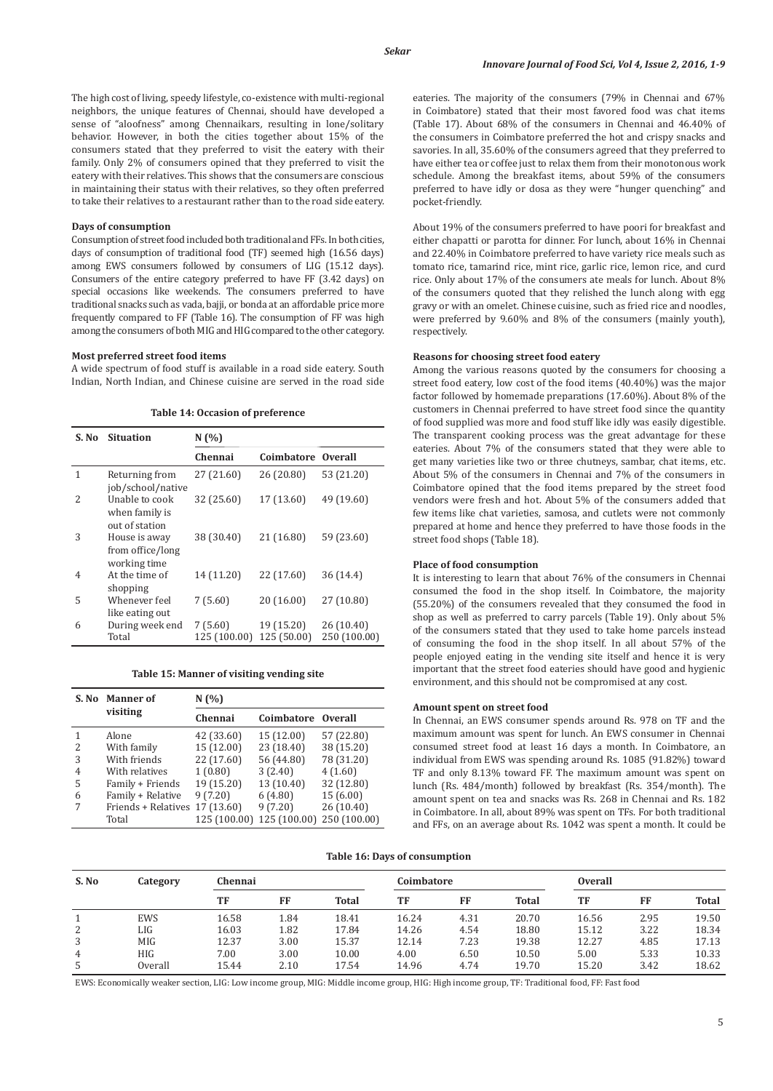The high cost of living, speedy lifestyle, co-existence with multi-regional neighbors, the unique features of Chennai, should have developed a sense of "aloofness" among Chennaikars*,* resulting in lone/solitary behavior. However, in both the cities together about 15% of the consumers stated that they preferred to visit the eatery with their family. Only 2% of consumers opined that they preferred to visit the eatery with their relatives. This shows that the consumers are conscious in maintaining their status with their relatives, so they often preferred to take their relatives to a restaurant rather than to the road side eatery.

#### **Days of consumption**

Consumption of street food included both traditional and FFs. In both cities, days of consumption of traditional food (TF) seemed high (16.56 days) among EWS consumers followed by consumers of LIG (15.12 days). Consumers of the entire category preferred to have FF (3.42 days) on special occasions like weekends. The consumers preferred to have traditional snacks such as vada, bajji, or bonda at an affordable price more frequently compared to FF (Table 16). The consumption of FF was high among the consumers of both MIG and HIG compared to the other category.

### **Most preferred street food items**

A wide spectrum of food stuff is available in a road side eatery. South Indian, North Indian, and Chinese cuisine are served in the road side

| S. No          | <b>Situation</b>                                   | N(%                     |                           |                            |  |  |
|----------------|----------------------------------------------------|-------------------------|---------------------------|----------------------------|--|--|
|                |                                                    | Chennai                 | Coimbatore                | <b>Overall</b>             |  |  |
| 1              | Returning from<br>job/school/native                | 27 (21.60)              | 26 (20.80)                | 53 (21.20)                 |  |  |
| 2              | Unable to cook<br>when family is<br>out of station | 32 (25.60)              | 17 (13.60)                | 49 (19.60)                 |  |  |
| 3              | House is away<br>from office/long<br>working time  | 38 (30.40)              | 21 (16.80)                | 59 (23.60)                 |  |  |
| $\overline{4}$ | At the time of<br>shopping                         | 14 (11.20)              | 22 (17.60)                | 36(14.4)                   |  |  |
| 5              | Whenever feel<br>like eating out                   | 7(5.60)                 | 20 (16.00)                | 27 (10.80)                 |  |  |
| 6              | During week end<br>Total                           | 7(5.60)<br>125 (100.00) | 19 (15.20)<br>125 (50.00) | 26 (10.40)<br>250 (100.00) |  |  |

#### **Table 14: Occasion of preference**

# **Table 15: Manner of visiting vending site**

|   | S. No. Manner of               | N(%)         |                           |            |  |  |
|---|--------------------------------|--------------|---------------------------|------------|--|--|
|   | visiting                       | Chennai      | Coimbatore Overall        |            |  |  |
|   | Alone                          | 42 (33.60)   | 15 (12.00)                | 57 (22.80) |  |  |
| 2 | With family                    | 15(12.00)    | 23 (18.40)                | 38 (15.20) |  |  |
| 3 | With friends                   | 22 (17.60)   | 56 (44.80)                | 78 (31.20) |  |  |
| 4 | With relatives                 | 1(0.80)      | 3(2.40)                   | 4(1.60)    |  |  |
| 5 | Family + Friends               | 19 (15.20)   | 13 (10.40)                | 32 (12.80) |  |  |
| 6 | Family + Relative              | 9(7.20)      | 6(4.80)                   | 15(6.00)   |  |  |
|   | Friends + Relatives 17 (13.60) |              | 9(7.20)                   | 26(10.40)  |  |  |
|   | Total                          | 125 (100.00) | 125 (100.00) 250 (100.00) |            |  |  |

eateries. The majority of the consumers (79% in Chennai and 67% in Coimbatore) stated that their most favored food was chat items (Table 17). About 68% of the consumers in Chennai and 46.40% of the consumers in Coimbatore preferred the hot and crispy snacks and savories. In all, 35.60% of the consumers agreed that they preferred to have either tea or coffee just to relax them from their monotonous work schedule. Among the breakfast items, about 59% of the consumers preferred to have idly or dosa as they were "hunger quenching" and pocket-friendly.

About 19% of the consumers preferred to have poori for breakfast and either chapatti or parotta for dinner. For lunch, about 16% in Chennai and 22.40% in Coimbatore preferred to have variety rice meals such as tomato rice, tamarind rice, mint rice, garlic rice, lemon rice, and curd rice. Only about 17% of the consumers ate meals for lunch. About 8% of the consumers quoted that they relished the lunch along with egg gravy or with an omelet. Chinese cuisine, such as fried rice and noodles, were preferred by 9.60% and 8% of the consumers (mainly youth), respectively.

#### **Reasons for choosing street food eatery**

Among the various reasons quoted by the consumers for choosing a street food eatery, low cost of the food items (40.40%) was the major factor followed by homemade preparations (17.60%). About 8% of the customers in Chennai preferred to have street food since the quantity of food supplied was more and food stuff like idly was easily digestible. The transparent cooking process was the great advantage for these eateries. About 7% of the consumers stated that they were able to get many varieties like two or three chutneys, sambar, chat items, etc. About 5% of the consumers in Chennai and 7% of the consumers in Coimbatore opined that the food items prepared by the street food vendors were fresh and hot. About 5% of the consumers added that few items like chat varieties, samosa, and cutlets were not commonly prepared at home and hence they preferred to have those foods in the street food shops (Table 18).

# **Place of food consumption**

It is interesting to learn that about 76% of the consumers in Chennai consumed the food in the shop itself. In Coimbatore, the majority (55.20%) of the consumers revealed that they consumed the food in shop as well as preferred to carry parcels (Table 19). Only about 5% of the consumers stated that they used to take home parcels instead of consuming the food in the shop itself. In all about 57% of the people enjoyed eating in the vending site itself and hence it is very important that the street food eateries should have good and hygienic environment, and this should not be compromised at any cost.

#### **Amount spent on street food**

In Chennai, an EWS consumer spends around Rs. 978 on TF and the maximum amount was spent for lunch. An EWS consumer in Chennai consumed street food at least 16 days a month. In Coimbatore, an individual from EWS was spending around Rs. 1085 (91.82%) toward TF and only 8.13% toward FF. The maximum amount was spent on lunch (Rs. 484/month) followed by breakfast (Rs. 354/month). The amount spent on tea and snacks was Rs. 268 in Chennai and Rs. 182 in Coimbatore. In all, about 89% was spent on TFs. For both traditional and FFs, on an average about Rs. 1042 was spent a month. It could be

#### **Table 16: Days of consumption**

| S. No | Category   | Chennai |      |              | Coimbatore |      |              | <b>Overall</b> |      |              |
|-------|------------|---------|------|--------------|------------|------|--------------|----------------|------|--------------|
|       |            | TF      | FF   | <b>Total</b> | TF         | FF   | <b>Total</b> | TF             | FF   | <b>Total</b> |
|       | <b>EWS</b> | 16.58   | 1.84 | 18.41        | 16.24      | 4.31 | 20.70        | 16.56          | 2.95 | 19.50        |
| 2     | LIG        | 16.03   | 1.82 | 17.84        | 14.26      | 4.54 | 18.80        | 15.12          | 3.22 | 18.34        |
| 3     | MIG        | 12.37   | 3.00 | 15.37        | 12.14      | 7.23 | 19.38        | 12.27          | 4.85 | 17.13        |
| 4     | <b>HIG</b> | 7.00    | 3.00 | 10.00        | 4.00       | 6.50 | 10.50        | 5.00           | 5.33 | 10.33        |
| 5     | Overall    | 15.44   | 2.10 | 17.54        | 14.96      | 4.74 | 19.70        | 15.20          | 3.42 | 18.62        |

EWS: Economically weaker section, LIG: Low income group, MIG: Middle income group, HIG: High income group, TF: Traditional food, FF: Fast food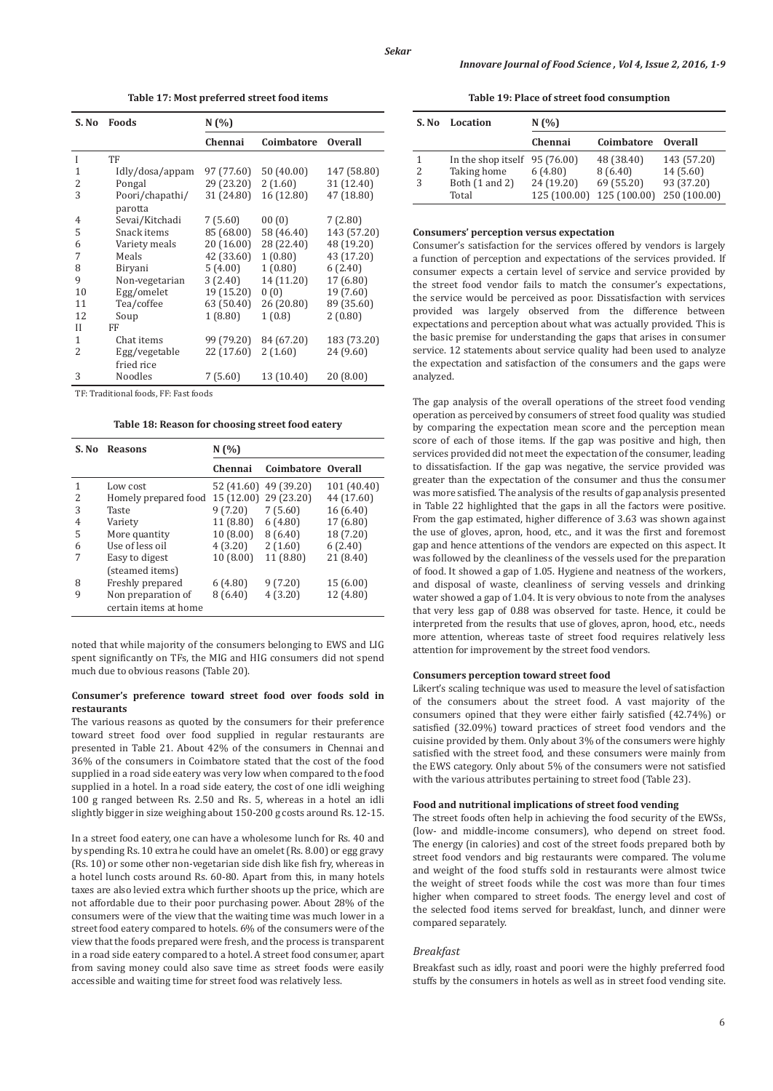**Table 17: Most preferred street food items**

| S. No | Foods           | N(%        |            |                |
|-------|-----------------|------------|------------|----------------|
|       |                 | Chennai    | Coimbatore | <b>Overall</b> |
| Ī     | TF              |            |            |                |
| 1     | Idly/dosa/appam | 97 (77.60) | 50 (40.00) | 147 (58.80)    |
| 2     | Pongal          | 29 (23.20) | 2(1.60)    | 31 (12.40)     |
| 3     | Poori/chapathi/ | 31 (24.80) | 16 (12.80) | 47 (18.80)     |
|       | parotta         |            |            |                |
| 4     | Sevai/Kitchadi  | 7(5.60)    | 00(0)      | 7(2.80)        |
| 5     | Snack items     | 85 (68.00) | 58 (46.40) | 143 (57.20)    |
| 6     | Variety meals   | 20 (16.00) | 28 (22.40) | 48 (19.20)     |
| 7     | Meals           | 42 (33.60) | 1(0.80)    | 43 (17.20)     |
| 8     | Biryani         | 5(4.00)    | 1(0.80)    | 6(2.40)        |
| 9     | Non-vegetarian  | 3(2.40)    | 14 (11.20) | 17 (6.80)      |
| 10    | Egg/omelet      | 19 (15.20) | 0(0)       | 19 (7.60)      |
| 11    | Tea/coffee      | 63 (50.40) | 26 (20.80) | 89 (35.60)     |
| 12    | Soup            | 1(8.80)    | 1(0.8)     | 2(0.80)        |
| Н     | FF              |            |            |                |
| 1     | Chat items      | 99 (79.20) | 84 (67.20) | 183 (73.20)    |
| 2     | Egg/vegetable   | 22 (17.60) | 2(1.60)    | 24 (9.60)      |
|       | fried rice      |            |            |                |
| 3     | <b>Noodles</b>  | 7(5.60)    | 13 (10.40) | 20(8.00)       |

TF: Traditional foods, FF: Fast foods

**Table 18: Reason for choosing street food eatery**

| S. No | <b>Reasons</b>        | N(%)       |                    |             |  |  |
|-------|-----------------------|------------|--------------------|-------------|--|--|
|       |                       | Chennai    | Coimbatore Overall |             |  |  |
| 1     | Low cost              | 52 (41.60) | 49 (39.20)         | 101 (40.40) |  |  |
| 2     | Homely prepared food  | 15 (12.00) | 29 (23.20)         | 44 (17.60)  |  |  |
| 3     | Taste                 | 9(7.20)    | 7(5.60)            | 16(6.40)    |  |  |
| 4     | Variety               | 11 (8.80)  | 6(4.80)            | 17 (6.80)   |  |  |
| 5     | More quantity         | 10(8.00)   | 8(6.40)            | 18 (7.20)   |  |  |
| 6     | Use of less oil       | 4(3.20)    | 2(1.60)            | 6(2.40)     |  |  |
| 7     | Easy to digest        | 10(8.00)   | 11 (8.80)          | 21(8.40)    |  |  |
|       | (steamed items)       |            |                    |             |  |  |
| 8     | Freshly prepared      | 6(4.80)    | 9(7.20)            | 15(6.00)    |  |  |
| 9     | Non preparation of    | 8(6.40)    | 4(3.20)            | 12 (4.80)   |  |  |
|       | certain items at home |            |                    |             |  |  |

noted that while majority of the consumers belonging to EWS and LIG spent significantly on TFs, the MIG and HIG consumers did not spend much due to obvious reasons (Table 20).

### **Consumer's preference toward street food over foods sold in restaurants**

The various reasons as quoted by the consumers for their preference toward street food over food supplied in regular restaurants are presented in Table 21. About 42% of the consumers in Chennai and 36% of the consumers in Coimbatore stated that the cost of the food supplied in a road side eatery was very low when compared to the food supplied in a hotel. In a road side eatery, the cost of one idli weighing 100 g ranged between Rs. 2.50 and Rs. 5, whereas in a hotel an idli slightly bigger in size weighing about 150-200 g costs around Rs. 12-15.

In a street food eatery, one can have a wholesome lunch for Rs. 40 and by spending Rs. 10 extra he could have an omelet (Rs. 8.00) or egg gravy (Rs. 10) or some other non-vegetarian side dish like fish fry, whereas in a hotel lunch costs around Rs. 60-80. Apart from this, in many hotels taxes are also levied extra which further shoots up the price, which are not affordable due to their poor purchasing power. About 28% of the consumers were of the view that the waiting time was much lower in a street food eatery compared to hotels. 6% of the consumers were of the view that the foods prepared were fresh, and the process is transparent in a road side eatery compared to a hotel. A street food consumer, apart from saving money could also save time as street foods were easily accessible and waiting time for street food was relatively less.

**Table 19: Place of street food consumption**

| S. No | Location                | N(%)                       |                            |                            |  |  |
|-------|-------------------------|----------------------------|----------------------------|----------------------------|--|--|
|       |                         | Chennai                    | Coimbatore                 | <b>Overall</b>             |  |  |
|       | In the shop itself      | 95 (76.00)                 | 48 (38.40)                 | 143 (57.20)                |  |  |
| 2     | Taking home             | 6(4.80)                    | 8(6.40)                    | 14(5.60)                   |  |  |
| 3     | Both (1 and 2)<br>Total | 24 (19.20)<br>125 (100.00) | 69 (55.20)<br>125 (100.00) | 93 (37.20)<br>250 (100.00) |  |  |

## **Consumers' perception versus expectation**

Consumer's satisfaction for the services offered by vendors is largely a function of perception and expectations of the services provided. If consumer expects a certain level of service and service provided by the street food vendor fails to match the consumer's expectations, the service would be perceived as poor. Dissatisfaction with services provided was largely observed from the difference between expectations and perception about what was actually provided. This is the basic premise for understanding the gaps that arises in consumer service. 12 statements about service quality had been used to analyze the expectation and satisfaction of the consumers and the gaps were analyzed.

The gap analysis of the overall operations of the street food vending operation as perceived by consumers of street food quality was studied by comparing the expectation mean score and the perception mean score of each of those items. If the gap was positive and high, then services provided did not meet the expectation of the consumer, leading to dissatisfaction. If the gap was negative, the service provided was greater than the expectation of the consumer and thus the consumer was more satisfied. The analysis of the results of gap analysis presented in Table 22 highlighted that the gaps in all the factors were positive. From the gap estimated, higher difference of 3.63 was shown against the use of gloves, apron, hood, etc., and it was the first and foremost gap and hence attentions of the vendors are expected on this aspect. It was followed by the cleanliness of the vessels used for the preparation of food. It showed a gap of 1.05. Hygiene and neatness of the workers, and disposal of waste, cleanliness of serving vessels and drinking water showed a gap of 1.04. It is very obvious to note from the analyses that very less gap of 0.88 was observed for taste. Hence, it could be interpreted from the results that use of gloves, apron, hood, etc., needs more attention, whereas taste of street food requires relatively less attention for improvement by the street food vendors.

### **Consumers perception toward street food**

Likert's scaling technique was used to measure the level of satisfaction of the consumers about the street food. A vast majority of the consumers opined that they were either fairly satisfied (42.74%) or satisfied (32.09%) toward practices of street food vendors and the cuisine provided by them. Only about 3% of the consumers were highly satisfied with the street food, and these consumers were mainly from the EWS category. Only about 5% of the consumers were not satisfied with the various attributes pertaining to street food (Table 23).

# **Food and nutritional implications of street food vending**

The street foods often help in achieving the food security of the EWSs, (low- and middle-income consumers), who depend on street food. The energy (in calories) and cost of the street foods prepared both by street food vendors and big restaurants were compared. The volume and weight of the food stuffs sold in restaurants were almost twice the weight of street foods while the cost was more than four times higher when compared to street foods. The energy level and cost of the selected food items served for breakfast, lunch, and dinner were compared separately.

## *Breakfast*

Breakfast such as idly, roast and poori were the highly preferred food stuffs by the consumers in hotels as well as in street food vending site.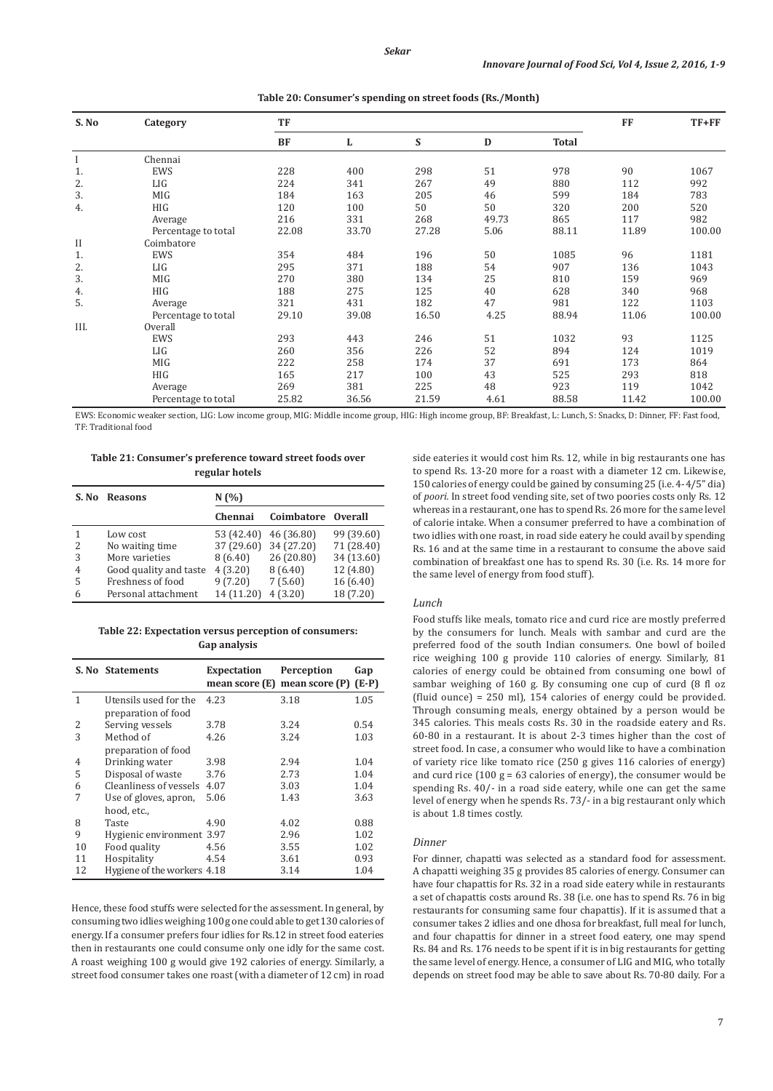| S. No   | Category            | TF        |       |       |       |              | <b>FF</b> | $TF+FF$ |
|---------|---------------------|-----------|-------|-------|-------|--------------|-----------|---------|
|         |                     | <b>BF</b> | L     | S     | D     | <b>Total</b> |           |         |
|         | Chennai             |           |       |       |       |              |           |         |
| 1.      | EWS                 | 228       | 400   | 298   | 51    | 978          | 90        | 1067    |
| 2.      | LIG                 | 224       | 341   | 267   | 49    | 880          | 112       | 992     |
| 3.      | MIG                 | 184       | 163   | 205   | 46    | 599          | 184       | 783     |
| 4.      | HIG                 | 120       | 100   | 50    | 50    | 320          | 200       | 520     |
|         | Average             | 216       | 331   | 268   | 49.73 | 865          | 117       | 982     |
|         | Percentage to total | 22.08     | 33.70 | 27.28 | 5.06  | 88.11        | 11.89     | 100.00  |
| $_{II}$ | Coimbatore          |           |       |       |       |              |           |         |
| 1.      | EWS                 | 354       | 484   | 196   | 50    | 1085         | 96        | 1181    |
| 2.      | LIG                 | 295       | 371   | 188   | 54    | 907          | 136       | 1043    |
| 3.      | MIG                 | 270       | 380   | 134   | 25    | 810          | 159       | 969     |
| 4.      | HIG                 | 188       | 275   | 125   | 40    | 628          | 340       | 968     |
| 5.      | Average             | 321       | 431   | 182   | 47    | 981          | 122       | 1103    |
|         | Percentage to total | 29.10     | 39.08 | 16.50 | 4.25  | 88.94        | 11.06     | 100.00  |
| III.    | Overall             |           |       |       |       |              |           |         |
|         | EWS                 | 293       | 443   | 246   | 51    | 1032         | 93        | 1125    |
|         | LIG                 | 260       | 356   | 226   | 52    | 894          | 124       | 1019    |
|         | MIG                 | 222       | 258   | 174   | 37    | 691          | 173       | 864     |
|         | HIG                 | 165       | 217   | 100   | 43    | 525          | 293       | 818     |
|         | Average             | 269       | 381   | 225   | 48    | 923          | 119       | 1042    |
|         | Percentage to total | 25.82     | 36.56 | 21.59 | 4.61  | 88.58        | 11.42     | 100.00  |

**Table 20: Consumer's spending on street foods (Rs./Month)**

EWS: Economic weaker section, LIG: Low income group, MIG: Middle income group, HIG: High income group, BF: Breakfast, L: Lunch, S: Snacks, D: Dinner, FF: Fast food, TF: Traditional food

**Table 21: Consumer's preference toward street foods over regular hotels**

| S. No                    | <b>Reasons</b>         | N(%        |            |                |  |  |  |
|--------------------------|------------------------|------------|------------|----------------|--|--|--|
|                          |                        | Chennai    | Coimbatore | <b>Overall</b> |  |  |  |
|                          | Low cost               | 53 (42.40) | 46 (36.80) | 99 (39.60)     |  |  |  |
| $\overline{\mathcal{L}}$ | No waiting time        | 37 (29.60) | 34 (27.20) | 71 (28.40)     |  |  |  |
| 3                        | More varieties         | 8(6.40)    | 26 (20.80) | 34 (13.60)     |  |  |  |
| 4                        | Good quality and taste | 4(3.20)    | 8(6.40)    | 12 (4.80)      |  |  |  |
| 5                        | Freshness of food      | 9(7.20)    | 7(5.60)    | 16(6.40)       |  |  |  |
| 6                        | Personal attachment    | 14 (11.20) | 4(3.20)    | 18 (7.20)      |  |  |  |

# **Table 22: Expectation versus perception of consumers: Gap analysis**

|    | S. No Statements                             | Expectation<br>mean score (E) | Perception<br>mean score (P) | Gap<br>$(E-P)$ |
|----|----------------------------------------------|-------------------------------|------------------------------|----------------|
| 1  | Utensils used for the<br>preparation of food | 4.23                          | 3.18                         | 1.05           |
| 2  | Serving vessels                              | 3.78                          | 3.24                         | 0.54           |
| 3  | Method of                                    | 4.26                          | 3.24                         | 1.03           |
|    | preparation of food                          |                               |                              |                |
| 4  | Drinking water                               | 3.98                          | 2.94                         | 1.04           |
| 5  | Disposal of waste                            | 3.76                          | 2.73                         | 1.04           |
| 6  | Cleanliness of vessels                       | 4.07                          | 3.03                         | 1.04           |
| 7  | Use of gloves, apron,                        | 5.06                          | 1.43                         | 3.63           |
|    | hood, etc.,                                  |                               |                              |                |
| 8  | Taste                                        | 4.90                          | 4.02                         | 0.88           |
| 9  | Hygienic environment 3.97                    |                               | 2.96                         | 1.02           |
| 10 | Food quality                                 | 4.56                          | 3.55                         | 1.02           |
| 11 | Hospitality                                  | 4.54                          | 3.61                         | 0.93           |
| 12 | Hygiene of the workers 4.18                  |                               | 3.14                         | 1.04           |

Hence, these food stuffs were selected for the assessment. In general, by consuming two idliesweighing 100 g one could able to get 130 calories of energy. If a consumer prefers four idlies for Rs.12 in street food eateries then in restaurants one could consume only one idly for the same cost. A roast weighing 100 g would give 192 calories of energy. Similarly, a street food consumer takes one roast (with a diameter of 12 cm) in road

side eateries it would cost him Rs. 12, while in big restaurants one has to spend Rs. 13-20 more for a roast with a diameter 12 cm. Likewise, 150 calories of energy could be gained by consuming 25 (i.e. 4-4/5" dia) of *poori.* In street food vending site, set of two poories costs only Rs. 12 whereas in a restaurant, one has to spend Rs. 26 more for the same level of calorie intake. When a consumer preferred to have a combination of two idlies with one roast, in road side eatery he could avail by spending Rs. 16 and at the same time in a restaurant to consume the above said combination of breakfast one has to spend Rs. 30 (i.e. Rs. 14 more for the same level of energy from food stuff).

### *Lunch*

Food stuffs like meals, tomato rice and curd rice are mostly preferred by the consumers for lunch. Meals with sambar and curd are the preferred food of the south Indian consumers. One bowl of boiled rice weighing 100 g provide 110 calories of energy. Similarly, 81 calories of energy could be obtained from consuming one bowl of sambar weighing of 160 g. By consuming one cup of curd (8 fl oz (fluid ounce) = 250 ml), 154 calories of energy could be provided. Through consuming meals, energy obtained by a person would be 345 calories. This meals costs Rs. 30 in the roadside eatery and Rs. 60-80 in a restaurant. It is about 2-3 times higher than the cost of street food. In case, a consumer who would like to have a combination of variety rice like tomato rice (250 g gives 116 calories of energy) and curd rice (100  $g = 63$  calories of energy), the consumer would be spending Rs. 40/- in a road side eatery, while one can get the same level of energy when he spends Rs. 73/- in a big restaurant only which is about 1.8 times costly.

### *Dinner*

For dinner, chapatti was selected as a standard food for assessment. A chapatti weighing 35 g provides 85 calories of energy. Consumer can have four chapattis for Rs. 32 in a road side eatery while in restaurants a set of chapattis costs around Rs. 38 (i.e. one has to spend Rs. 76 in big restaurants for consuming same four chapattis). If it is assumed that a consumer takes 2 idlies and one dhosa for breakfast, full meal for lunch, and four chapattis for dinner in a street food eatery, one may spend Rs. 84 and Rs. 176 needs to be spent if it is in big restaurants for getting the same level of energy. Hence, a consumer of LIG and MIG, who totally depends on street food may be able to save about Rs. 70-80 daily. For a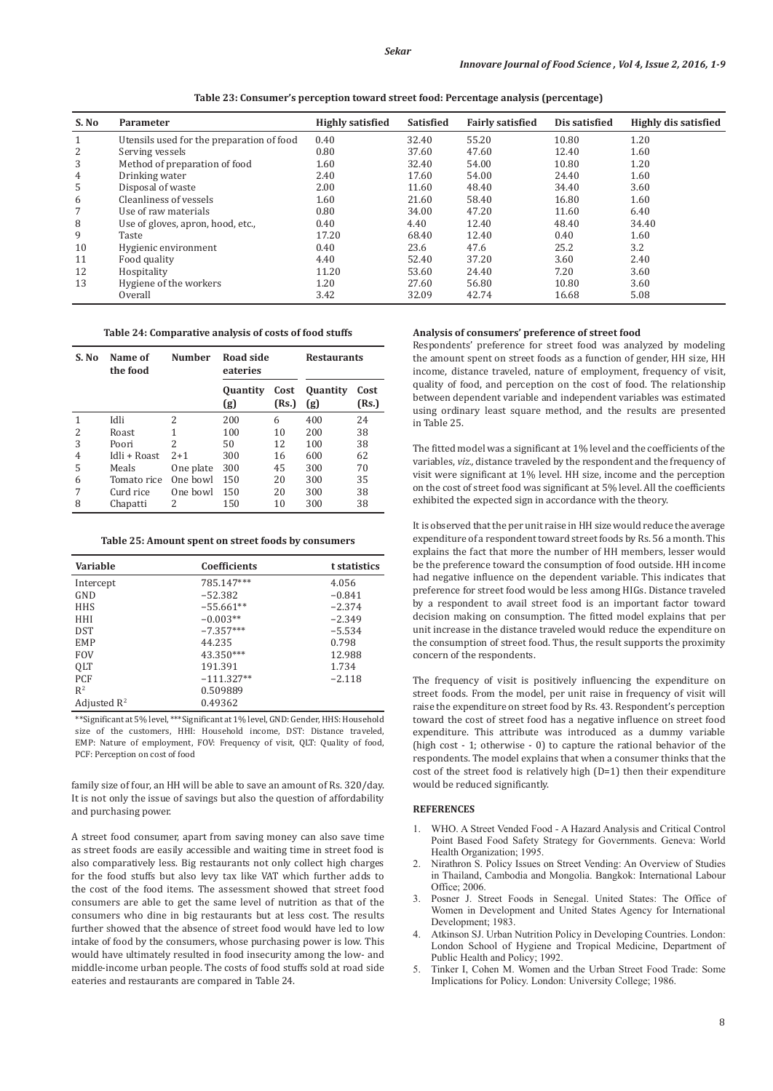**Table 23: Consumer's perception toward street food: Percentage analysis (percentage)**

| S. No | Parameter                                 | <b>Highly satisfied</b> | <b>Satisfied</b> | <b>Fairly satisfied</b> | Dis satisfied | <b>Highly dis satisfied</b> |
|-------|-------------------------------------------|-------------------------|------------------|-------------------------|---------------|-----------------------------|
| 1     | Utensils used for the preparation of food | 0.40                    | 32.40            | 55.20                   | 10.80         | 1.20                        |
| 2     | Serving vessels                           | 0.80                    | 37.60            | 47.60                   | 12.40         | 1.60                        |
| 3     | Method of preparation of food             | 1.60                    | 32.40            | 54.00                   | 10.80         | 1.20                        |
| 4     | Drinking water                            | 2.40                    | 17.60            | 54.00                   | 24.40         | 1.60                        |
| 5     | Disposal of waste                         | 2.00                    | 11.60            | 48.40                   | 34.40         | 3.60                        |
| 6     | Cleanliness of vessels                    | 1.60                    | 21.60            | 58.40                   | 16.80         | 1.60                        |
| 7     | Use of raw materials                      | 0.80                    | 34.00            | 47.20                   | 11.60         | 6.40                        |
| 8     | Use of gloves, apron, hood, etc.,         | 0.40                    | 4.40             | 12.40                   | 48.40         | 34.40                       |
| 9     | Taste                                     | 17.20                   | 68.40            | 12.40                   | 0.40          | 1.60                        |
| 10    | Hygienic environment                      | 0.40                    | 23.6             | 47.6                    | 25.2          | 3.2                         |
| 11    | Food quality                              | 4.40                    | 52.40            | 37.20                   | 3.60          | 2.40                        |
| 12    | Hospitality                               | 11.20                   | 53.60            | 24.40                   | 7.20          | 3.60                        |
| 13    | Hygiene of the workers                    | 1.20                    | 27.60            | 56.80                   | 10.80         | 3.60                        |
|       | Overall                                   | 3.42                    | 32.09            | 42.74                   | 16.68         | 5.08                        |

**Table 24: Comparative analysis of costs of food stuffs**

| S. No | Name of<br>the food | <b>Number</b>  | <b>Road side</b><br>eateries |               | <b>Restaurants</b>     |               |
|-------|---------------------|----------------|------------------------------|---------------|------------------------|---------------|
|       |                     |                | <b>Quantity</b><br>(g)       | Cost<br>(Rs.) | <b>Quantity</b><br>(g) | Cost<br>(Rs.) |
| 1     | Idli                | $\overline{c}$ | 200                          | 6             | 400                    | 24            |
| 2     | Roast               | 1              | 100                          | 10            | 200                    | 38            |
| 3     | Poori               | 2              | 50                           | 12            | 100                    | 38            |
| 4     | Idli + Roast        | $2+1$          | 300                          | 16            | 600                    | 62            |
| 5     | Meals               | One plate      | 300                          | 45            | 300                    | 70            |
| 6     | Tomato rice         | One bowl       | 150                          | 20            | 300                    | 35            |
| 7     | Curd rice           | One bowl       | 150                          | 20            | 300                    | 38            |
| 8     | Chapatti            | 2              | 150                          | 10            | 300                    | 38            |

**Table 25: Amount spent on street foods by consumers**

| Variable                | <b>Coefficients</b> | t statistics |
|-------------------------|---------------------|--------------|
| Intercept               | 785.147***          | 4.056        |
| GND                     | $-52.382$           | $-0.841$     |
| <b>HHS</b>              | $-55.661**$         | $-2.374$     |
| HHI                     | $-0.003**$          | $-2.349$     |
| <b>DST</b>              | $-7.357***$         | $-5.534$     |
| <b>EMP</b>              | 44.235              | 0.798        |
| <b>FOV</b>              | 43.350***           | 12.988       |
| <b>OLT</b>              | 191.391             | 1.734        |
| <b>PCF</b>              | $-111.327**$        | $-2.118$     |
| $R^2$                   | 0.509889            |              |
| Adjusted $\mathbb{R}^2$ | 0.49362             |              |

\*\*Significant at 5% level, \*\*\*Significant at 1% level, GND: Gender, HHS: Household size of the customers, HHI: Household income, DST: Distance traveled, EMP: Nature of employment, FOV: Frequency of visit, QLT: Quality of food, PCF: Perception on cost of food

family size of four, an HH will be able to save an amount of Rs. 320/day. It is not only the issue of savings but also the question of affordability and purchasing power.

A street food consumer, apart from saving money can also save time as street foods are easily accessible and waiting time in street food is also comparatively less. Big restaurants not only collect high charges for the food stuffs but also levy tax like VAT which further adds to the cost of the food items. The assessment showed that street food consumers are able to get the same level of nutrition as that of the consumers who dine in big restaurants but at less cost. The results further showed that the absence of street food would have led to low intake of food by the consumers, whose purchasing power is low. This would have ultimately resulted in food insecurity among the low- and middle-income urban people. The costs of food stuffs sold at road side eateries and restaurants are compared in Table 24.

# **Analysis of consumers' preference of street food**

Respondents' preference for street food was analyzed by modeling the amount spent on street foods as a function of gender, HH size, HH income, distance traveled, nature of employment, frequency of visit, quality of food, and perception on the cost of food. The relationship between dependent variable and independent variables was estimated using ordinary least square method, and the results are presented in Table 25.

The fitted model was a significant at 1% level and the coefficients of the variables, *viz.,* distance traveled by the respondent and the frequency of visit were significant at 1% level. HH size, income and the perception on the cost of street food was significant at 5% level. All the coefficients exhibited the expected sign in accordance with the theory.

It is observed that the per unit raise in HH size would reduce the average expenditure of a respondent toward street foods by Rs. 56 a month. This explains the fact that more the number of HH members, lesser would be the preference toward the consumption of food outside. HH income had negative influence on the dependent variable. This indicates that preference for street food would be less among HIGs. Distance traveled by a respondent to avail street food is an important factor toward decision making on consumption. The fitted model explains that per unit increase in the distance traveled would reduce the expenditure on the consumption of street food. Thus, the result supports the proximity concern of the respondents.

The frequency of visit is positively influencing the expenditure on street foods. From the model, per unit raise in frequency of visit will raise the expenditure on street food by Rs. 43. Respondent's perception toward the cost of street food has a negative influence on street food expenditure. This attribute was introduced as a dummy variable (high cost - 1; otherwise - 0) to capture the rational behavior of the respondents. The model explains that when a consumer thinks that the cost of the street food is relatively high (D=1) then their expenditure would be reduced significantly.

### **REFERENCES**

- 1. WHO. A Street Vended Food A Hazard Analysis and Critical Control Point Based Food Safety Strategy for Governments. Geneva: World Health Organization; 1995.
- 2. Nirathron S. Policy Issues on Street Vending: An Overview of Studies in Thailand, Cambodia and Mongolia. Bangkok: International Labour Office; 2006.
- 3. Posner J. Street Foods in Senegal. United States: The Office of Women in Development and United States Agency for International Development; 1983.
- Atkinson SJ. Urban Nutrition Policy in Developing Countries. London: London School of Hygiene and Tropical Medicine, Department of Public Health and Policy; 1992.
- 5. Tinker I, Cohen M. Women and the Urban Street Food Trade: Some Implications for Policy. London: University College; 1986.